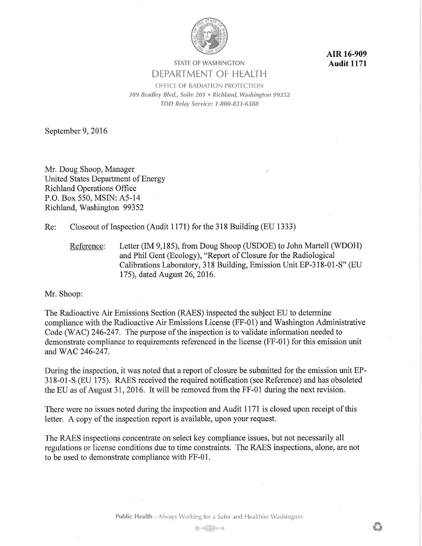

**AIR 16-909 Audit 1171** 

## **STATE OF WASHINGTON**  DEPARTMENT OF HEALTH

OFFICE OF RADIATION PROTECTION *309 Bradley Blvd., Suite 201* • *Richland, Washington 99352 TDD Relay Service: 1-800-833-6388* 

September 9, 2016

Mr. Doug Shoop, Manager United States Department of Energy Richland Operations Office P.O. Box 550, MSIN: A5-14 Richland, Washington 99352

Re: Closeout of Inspection (Audit 1171) for the 318 Building (EU 1333)

Reference: Letter (IM 9,185), from Doug Shoop (USDOE) to John Martell (WDOH) and Phil Gent (Ecology), "Report of Closure for the Radiological Calibrations Laboratory, 318 Building, Emission Unit EP-318-01-S" (EU 175), dated August 26, 2016.

Mr. Shoop:

The Radioactive Air Emissions Section (RAES) inspected the subject EU to determine compliance with the Radioactive Air Emissions License (FF-01) and Washington Administrative Code (WAC) 246-247. The purpose of the inspection is to validate information needed to demonstrate compliance to requirements referenced in the license (FF-01) for this emission unit and WAC 246-247.

During the inspection, it was noted that a report of closure be submitted for the emission unit EP-318-01-S (EU 175). RAES received the required notification (see Reference) and has obsoleted the EU as of August 31, 2016. It will be removed from the FF-01 during the next revision.

There were no issues noted during the inspection and Audit 1171 is closed upon receipt of this letter. A copy of the inspection report is available, upon your request.

The RAES inspections concentrate on select key compliance issues, but not necessarily all regulations or license conditions due to time constraints. The RAES inspections, alone, are not to be used to demonstrate compliance with FF-01.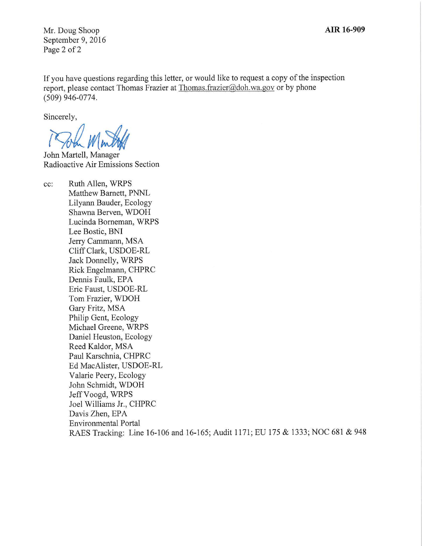**AIR 16-909** 

Mr. Doug Shoop September 9, 2016 Page 2 of 2

If you have questions regarding this letter, or would like to request a copy of the inspection report, please contact Thomas Frazier at Thomas.frazier@doh.wa.gov or by phone (509) 946-0774.

Sincerely,

19Jul Mintak

John Martell, Manager Radioactive Air Emissions Section

cc: Ruth Allen, WRPS Matthew Barnett, PNNL Lilyann Bauder, Ecology Shawna Berven, WDOH Lucinda Borneman, WRPS Lee Bostic, BNI Jerry Cammann, MSA Cliff Clark, USDOE-RL Jack Donnelly, WRPS Rick Engelmann, CHPRC Dennis Faulk, EPA Eric Faust, USDOE-RL Tom Frazier, WDOH Gary Fritz, MSA Philip Gent, Ecology Michael Greene, WRPS Daniel Heuston, Ecology Reed Kaldor, MSA Paul Karschnia, CHPRC Ed MacAlister, USDOE-RL Valarie Peery, Ecology John Schmidt, WDOH Jeff Voogd, WRPS Joel Williams Jr., CHPRC Davis Zhen, EPA Environmental Portal RAES Tracking: Line 16-106 and 16-165; Audit 1171; EU 175 & 1333; NOC 681 & 948